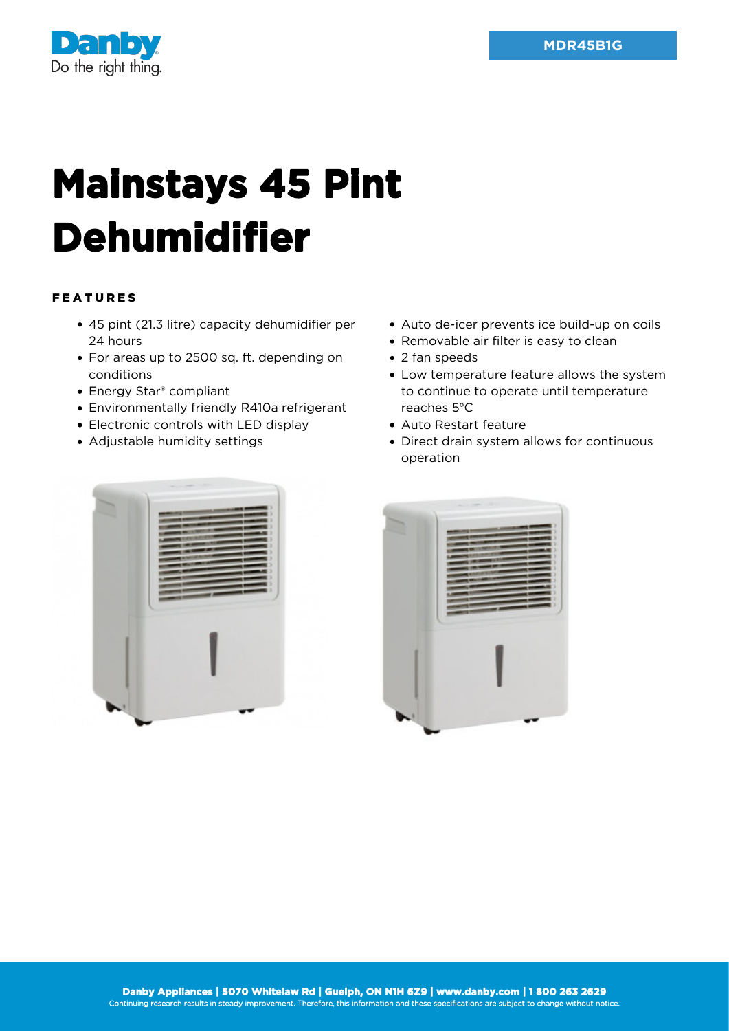

## **Mainstays 45 Pint Dehumidifier**

## FEATURES

- 45 pint (21.3 litre) capacity dehumidifier per 24 hours
- For areas up to 2500 sq. ft. depending on conditions
- Energy Star® compliant
- Environmentally friendly R410a refrigerant
- Electronic controls with LED display
- Adjustable humidity settings
- Auto de-icer prevents ice build-up on coils
- Removable air filter is easy to clean
- 2 fan speeds
- Low temperature feature allows the system to continue to operate until temperature reaches 5ºC
- Auto Restart feature
- Direct drain system allows for continuous operation